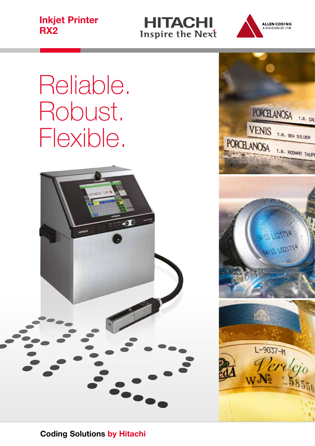Inkjet Printer **RX2** Specifications





# Reliable. Robust. Flexible.



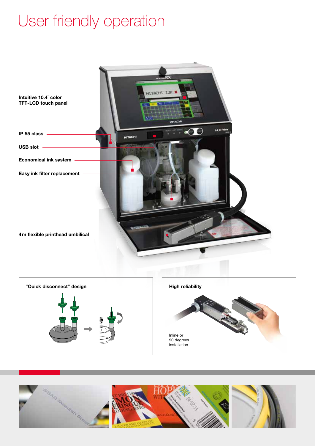### User friendly operation







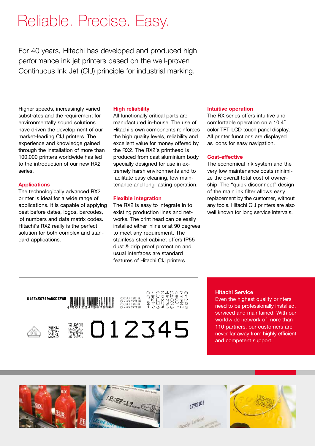### Reliable. Precise. Easy.

For 40 years, Hitachi has developed and produced high performance ink jet printers based on the well-proven Continuous Ink Jet (CIJ) principle for industrial marking.

Higher speeds, increasingly varied substrates and the requirement for environmentally sound solutions have driven the development of our market-leading CIJ printers. The experience and knowledge gained through the installation of more than 100,000 printers worldwide has led to the introduction of our new RX2 series.

#### Applications

The technologically advanced RX2 printer is ideal for a wide range of applications. It is capable of applying best before dates, logos, barcodes, lot numbers and data matrix codes. Hitachi's RX2 really is the perfect solution for both complex and standard applications.

#### High reliability

All functionally critical parts are manufactured in-house. The use of Hitachi's own components reinforces the high quality levels, reliability and excellent value for money offered by the RX2. The RX2's printhead is produced from cast aluminium body specially designed for use in extremely harsh environments and to facilitate easy cleaning, low maintenance and long-lasting operation.

#### Flexible integration

The RX2 is easy to integrate in to existing production lines and networks. The print head can be easily installed either inline or at 90 degrees to meet any requirement. The stainless steel cabinet offers IP55 dust & drip proof protection and usual interfaces are standard features of Hitachi CIJ printers.

#### Intuitive operation

The RX series offers intuitive and comfortable operation on a 10.4˝ color TFT-LCD touch panel display. All printer functions are displayed as icons for easy navigation.

#### Cost-effective

The economical ink system and the very low maintenance costs minimize the overall total cost of ownership. The "quick disconnect" design of the main ink filter allows easy replacement by the customer, without any tools. Hitachi CIJ printers are also well known for long service intervals.

### йтöömi<br>Омирил<br>Фоолт 0123456789ABCDEF6H ■ 012345

#### Hitachi Service

Even the highest quality printers need to be professionally installed, serviced and maintained. With our worldwide network of more than 110 partners, our customers are never far away from highly efficient and competent support.





1795101